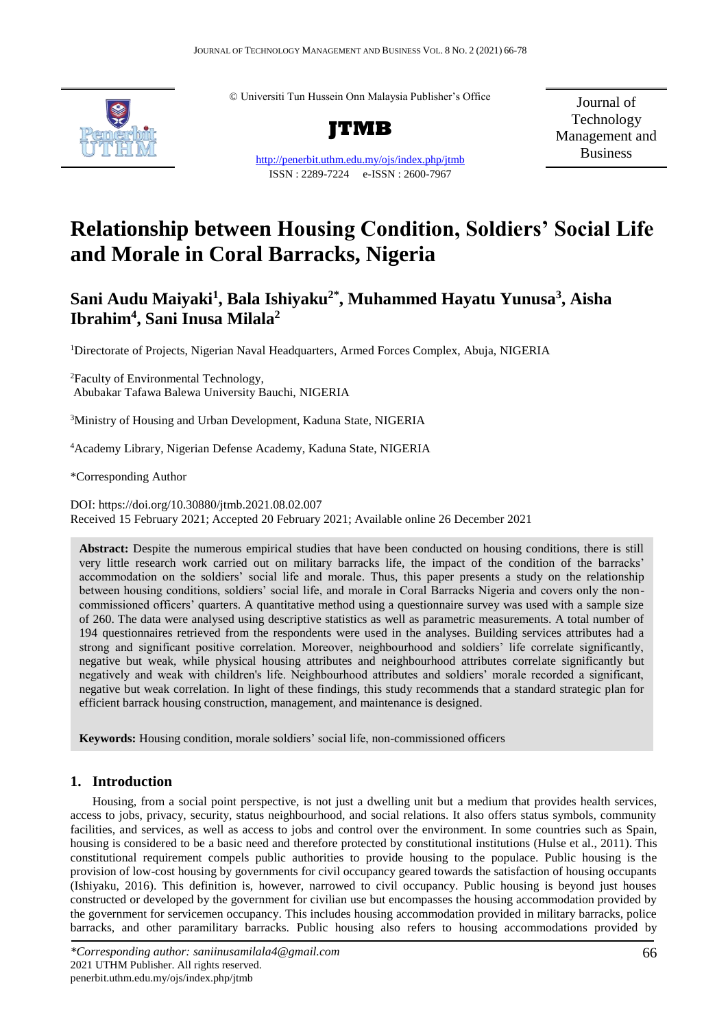

© Universiti Tun Hussein Onn Malaysia Publisher's Office



<http://penerbit.uthm.edu.my/ojs/index.php/jtmb>

ISSN : 2289-7224 e-ISSN : 2600-7967

Journal of Technology Management and Business

# **Relationship between Housing Condition, Soldiers' Social Life and Morale in Coral Barracks, Nigeria**

# **Sani Audu Maiyaki<sup>1</sup> , Bala Ishiyaku2\* , Muhammed Hayatu Yunusa<sup>3</sup> , Aisha Ibrahim<sup>4</sup> , Sani Inusa Milala<sup>2</sup>**

<sup>1</sup>Directorate of Projects, Nigerian Naval Headquarters, Armed Forces Complex, Abuja, NIGERIA

<sup>2</sup>Faculty of Environmental Technology, Abubakar Tafawa Balewa University Bauchi, NIGERIA

<sup>3</sup>Ministry of Housing and Urban Development, Kaduna State, NIGERIA

<sup>4</sup>Academy Library, Nigerian Defense Academy, Kaduna State, NIGERIA

\*Corresponding Author

DOI: https://doi.org/10.30880/jtmb.2021.08.02.007 Received 15 February 2021; Accepted 20 February 2021; Available online 26 December 2021

**Abstract:** Despite the numerous empirical studies that have been conducted on housing conditions, there is still very little research work carried out on military barracks life, the impact of the condition of the barracks' accommodation on the soldiers' social life and morale. Thus, this paper presents a study on the relationship between housing conditions, soldiers' social life, and morale in Coral Barracks Nigeria and covers only the noncommissioned officers' quarters. A quantitative method using a questionnaire survey was used with a sample size of 260. The data were analysed using descriptive statistics as well as parametric measurements. A total number of 194 questionnaires retrieved from the respondents were used in the analyses. Building services attributes had a strong and significant positive correlation. Moreover, neighbourhood and soldiers' life correlate significantly, negative but weak, while physical housing attributes and neighbourhood attributes correlate significantly but negatively and weak with children's life. Neighbourhood attributes and soldiers' morale recorded a significant, negative but weak correlation. In light of these findings, this study recommends that a standard strategic plan for efficient barrack housing construction, management, and maintenance is designed.

**Keywords:** Housing condition, morale soldiers' social life, non-commissioned officers

# **1. Introduction**

Housing, from a social point perspective, is not just a dwelling unit but a medium that provides health services, access to jobs, privacy, security, status neighbourhood, and social relations. It also offers status symbols, community facilities, and services, as well as access to jobs and control over the environment. In some countries such as Spain, housing is considered to be a basic need and therefore protected by constitutional institutions (Hulse et al., 2011). This constitutional requirement compels public authorities to provide housing to the populace. Public housing is the provision of low-cost housing by governments for civil occupancy geared towards the satisfaction of housing occupants (Ishiyaku, 2016). This definition is, however, narrowed to civil occupancy. Public housing is beyond just houses constructed or developed by the government for civilian use but encompasses the housing accommodation provided by the government for servicemen occupancy. This includes housing accommodation provided in military barracks, police barracks, and other paramilitary barracks. Public housing also refers to housing accommodations provided by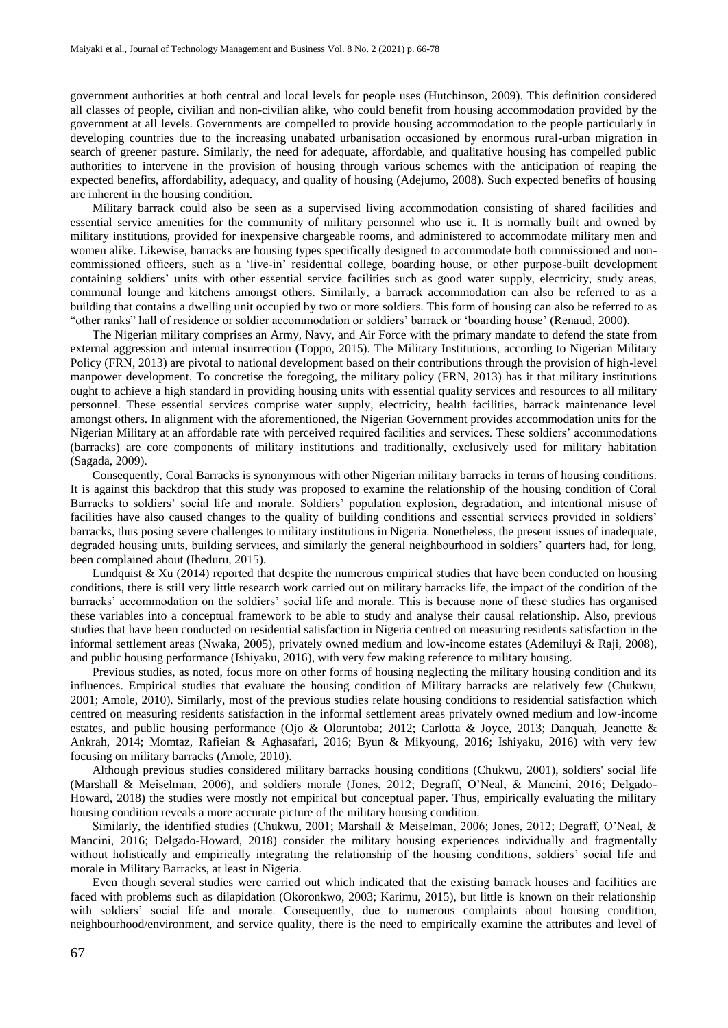government authorities at both central and local levels for people uses (Hutchinson, 2009). This definition considered all classes of people, civilian and non-civilian alike, who could benefit from housing accommodation provided by the government at all levels. Governments are compelled to provide housing accommodation to the people particularly in developing countries due to the increasing unabated urbanisation occasioned by enormous rural-urban migration in search of greener pasture. Similarly, the need for adequate, affordable, and qualitative housing has compelled public authorities to intervene in the provision of housing through various schemes with the anticipation of reaping the expected benefits, affordability, adequacy, and quality of housing (Adejumo, 2008). Such expected benefits of housing are inherent in the housing condition.

Military barrack could also be seen as a supervised living accommodation consisting of shared facilities and essential service amenities for the community of military personnel who use it. It is normally built and owned by military institutions, provided for inexpensive chargeable rooms, and administered to accommodate military men and women alike. Likewise, barracks are housing types specifically designed to accommodate both commissioned and noncommissioned officers, such as a 'live-in' residential college, boarding house, or other purpose-built development containing soldiers' units with other essential service facilities such as good water supply, electricity, study areas, communal lounge and kitchens amongst others. Similarly, a barrack accommodation can also be referred to as a building that contains a dwelling unit occupied by two or more soldiers. This form of housing can also be referred to as "other ranks" hall of residence or soldier accommodation or soldiers' barrack or 'boarding house' (Renaud, 2000).

The Nigerian military comprises an Army, Navy, and Air Force with the primary mandate to defend the state from external aggression and internal insurrection (Toppo, 2015). The Military Institutions, according to Nigerian Military Policy (FRN, 2013) are pivotal to national development based on their contributions through the provision of high-level manpower development. To concretise the foregoing, the military policy (FRN, 2013) has it that military institutions ought to achieve a high standard in providing housing units with essential quality services and resources to all military personnel. These essential services comprise water supply, electricity, health facilities, barrack maintenance level amongst others. In alignment with the aforementioned, the Nigerian Government provides accommodation units for the Nigerian Military at an affordable rate with perceived required facilities and services. These soldiers' accommodations (barracks) are core components of military institutions and traditionally, exclusively used for military habitation (Sagada, 2009).

Consequently, Coral Barracks is synonymous with other Nigerian military barracks in terms of housing conditions. It is against this backdrop that this study was proposed to examine the relationship of the housing condition of Coral Barracks to soldiers' social life and morale. Soldiers' population explosion, degradation, and intentional misuse of facilities have also caused changes to the quality of building conditions and essential services provided in soldiers' barracks, thus posing severe challenges to military institutions in Nigeria. Nonetheless, the present issues of inadequate, degraded housing units, building services, and similarly the general neighbourhood in soldiers' quarters had, for long, been complained about (Iheduru, 2015).

Lundquist  $& Xu$  (2014) reported that despite the numerous empirical studies that have been conducted on housing conditions, there is still very little research work carried out on military barracks life, the impact of the condition of the barracks' accommodation on the soldiers' social life and morale. This is because none of these studies has organised these variables into a conceptual framework to be able to study and analyse their causal relationship. Also, previous studies that have been conducted on residential satisfaction in Nigeria centred on measuring residents satisfaction in the informal settlement areas (Nwaka, 2005), privately owned medium and low-income estates (Ademiluyi & Raji, 2008), and public housing performance (Ishiyaku, 2016), with very few making reference to military housing.

Previous studies, as noted, focus more on other forms of housing neglecting the military housing condition and its influences. Empirical studies that evaluate the housing condition of Military barracks are relatively few (Chukwu, 2001; Amole, 2010). Similarly, most of the previous studies relate housing conditions to residential satisfaction which centred on measuring residents satisfaction in the informal settlement areas privately owned medium and low-income estates, and public housing performance (Ojo & Oloruntoba; 2012; Carlotta & Joyce, 2013; Danquah, Jeanette & Ankrah, 2014; Momtaz, Rafieian & Aghasafari, 2016; Byun & Mikyoung, 2016; Ishiyaku, 2016) with very few focusing on military barracks (Amole, 2010).

Although previous studies considered military barracks housing conditions (Chukwu, 2001), soldiers' social life (Marshall & Meiselman, 2006), and soldiers morale (Jones, 2012; Degraff, O'Neal, & Mancini, 2016; Delgado-Howard, 2018) the studies were mostly not empirical but conceptual paper. Thus, empirically evaluating the military housing condition reveals a more accurate picture of the military housing condition.

Similarly, the identified studies (Chukwu, 2001; Marshall & Meiselman, 2006; Jones, 2012; Degraff, O'Neal, & Mancini, 2016; Delgado-Howard, 2018) consider the military housing experiences individually and fragmentally without holistically and empirically integrating the relationship of the housing conditions, soldiers' social life and morale in Military Barracks, at least in Nigeria.

Even though several studies were carried out which indicated that the existing barrack houses and facilities are faced with problems such as dilapidation (Okoronkwo, 2003; Karimu, 2015), but little is known on their relationship with soldiers' social life and morale. Consequently, due to numerous complaints about housing condition, neighbourhood/environment, and service quality, there is the need to empirically examine the attributes and level of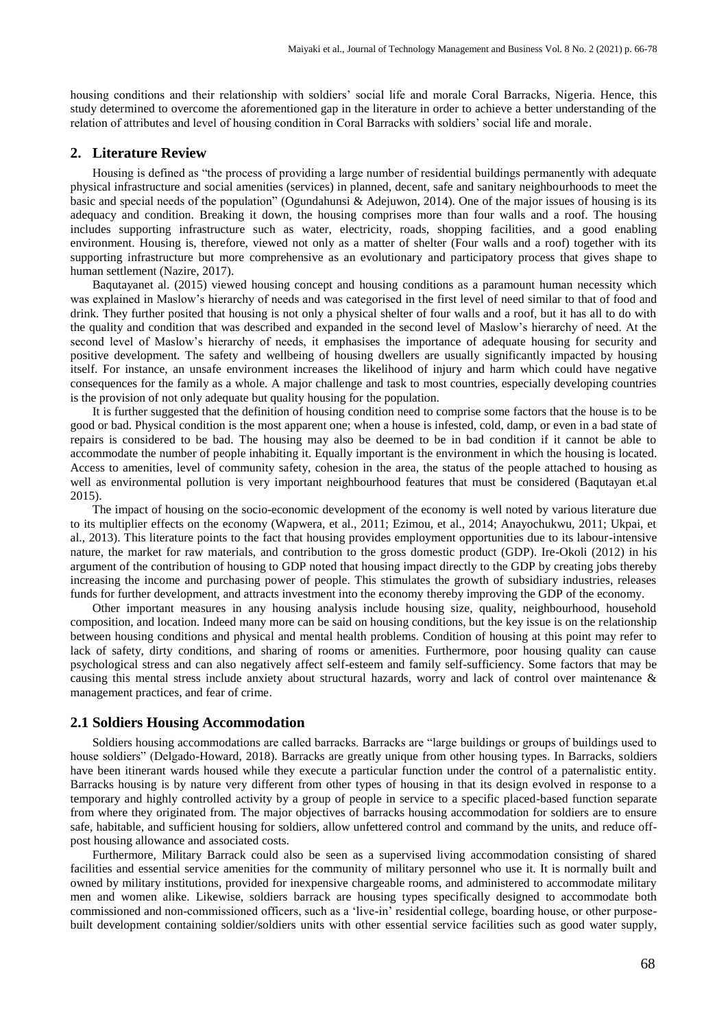housing conditions and their relationship with soldiers' social life and morale Coral Barracks, Nigeria. Hence, this study determined to overcome the aforementioned gap in the literature in order to achieve a better understanding of the relation of attributes and level of housing condition in Coral Barracks with soldiers' social life and morale.

# **2. Literature Review**

Housing is defined as "the process of providing a large number of residential buildings permanently with adequate physical infrastructure and social amenities (services) in planned, decent, safe and sanitary neighbourhoods to meet the basic and special needs of the population" (Ogundahunsi & Adejuwon, 2014). One of the major issues of housing is its adequacy and condition. Breaking it down, the housing comprises more than four walls and a roof. The housing includes supporting infrastructure such as water, electricity, roads, shopping facilities, and a good enabling environment. Housing is, therefore, viewed not only as a matter of shelter (Four walls and a roof) together with its supporting infrastructure but more comprehensive as an evolutionary and participatory process that gives shape to human settlement (Nazire, 2017).

Baqutayanet al. (2015) viewed housing concept and housing conditions as a paramount human necessity which was explained in Maslow's hierarchy of needs and was categorised in the first level of need similar to that of food and drink. They further posited that housing is not only a physical shelter of four walls and a roof, but it has all to do with the quality and condition that was described and expanded in the second level of Maslow's hierarchy of need. At the second level of Maslow's hierarchy of needs, it emphasises the importance of adequate housing for security and positive development. The safety and wellbeing of housing dwellers are usually significantly impacted by housing itself. For instance, an unsafe environment increases the likelihood of injury and harm which could have negative consequences for the family as a whole. A major challenge and task to most countries, especially developing countries is the provision of not only adequate but quality housing for the population.

It is further suggested that the definition of housing condition need to comprise some factors that the house is to be good or bad. Physical condition is the most apparent one; when a house is infested, cold, damp, or even in a bad state of repairs is considered to be bad. The housing may also be deemed to be in bad condition if it cannot be able to accommodate the number of people inhabiting it. Equally important is the environment in which the housing is located. Access to amenities, level of community safety, cohesion in the area, the status of the people attached to housing as well as environmental pollution is very important neighbourhood features that must be considered (Baqutayan et.al 2015).

The impact of housing on the socio-economic development of the economy is well noted by various literature due to its multiplier effects on the economy (Wapwera, et al., 2011; Ezimou, et al., 2014; Anayochukwu, 2011; Ukpai, et al., 2013). This literature points to the fact that housing provides employment opportunities due to its labour-intensive nature, the market for raw materials, and contribution to the gross domestic product (GDP). Ire-Okoli (2012) in his argument of the contribution of housing to GDP noted that housing impact directly to the GDP by creating jobs thereby increasing the income and purchasing power of people. This stimulates the growth of subsidiary industries, releases funds for further development, and attracts investment into the economy thereby improving the GDP of the economy.

Other important measures in any housing analysis include housing size, quality, neighbourhood, household composition, and location. Indeed many more can be said on housing conditions, but the key issue is on the relationship between housing conditions and physical and mental health problems. Condition of housing at this point may refer to lack of safety, dirty conditions, and sharing of rooms or amenities. Furthermore, poor housing quality can cause psychological stress and can also negatively affect self-esteem and family self-sufficiency. Some factors that may be causing this mental stress include anxiety about structural hazards, worry and lack of control over maintenance & management practices, and fear of crime.

# **2.1 Soldiers Housing Accommodation**

Soldiers housing accommodations are called barracks. Barracks are "large buildings or groups of buildings used to house soldiers" (Delgado-Howard, 2018). Barracks are greatly unique from other housing types. In Barracks, soldiers have been itinerant wards housed while they execute a particular function under the control of a paternalistic entity. Barracks housing is by nature very different from other types of housing in that its design evolved in response to a temporary and highly controlled activity by a group of people in service to a specific placed-based function separate from where they originated from. The major objectives of barracks housing accommodation for soldiers are to ensure safe, habitable, and sufficient housing for soldiers, allow unfettered control and command by the units, and reduce offpost housing allowance and associated costs.

Furthermore, Military Barrack could also be seen as a supervised living accommodation consisting of shared facilities and essential service amenities for the community of military personnel who use it. It is normally built and owned by military institutions, provided for inexpensive chargeable rooms, and administered to accommodate military men and women alike. Likewise, soldiers barrack are housing types specifically designed to accommodate both commissioned and non-commissioned officers, such as a 'live-in' residential college, boarding house, or other purposebuilt development containing soldier/soldiers units with other essential service facilities such as good water supply,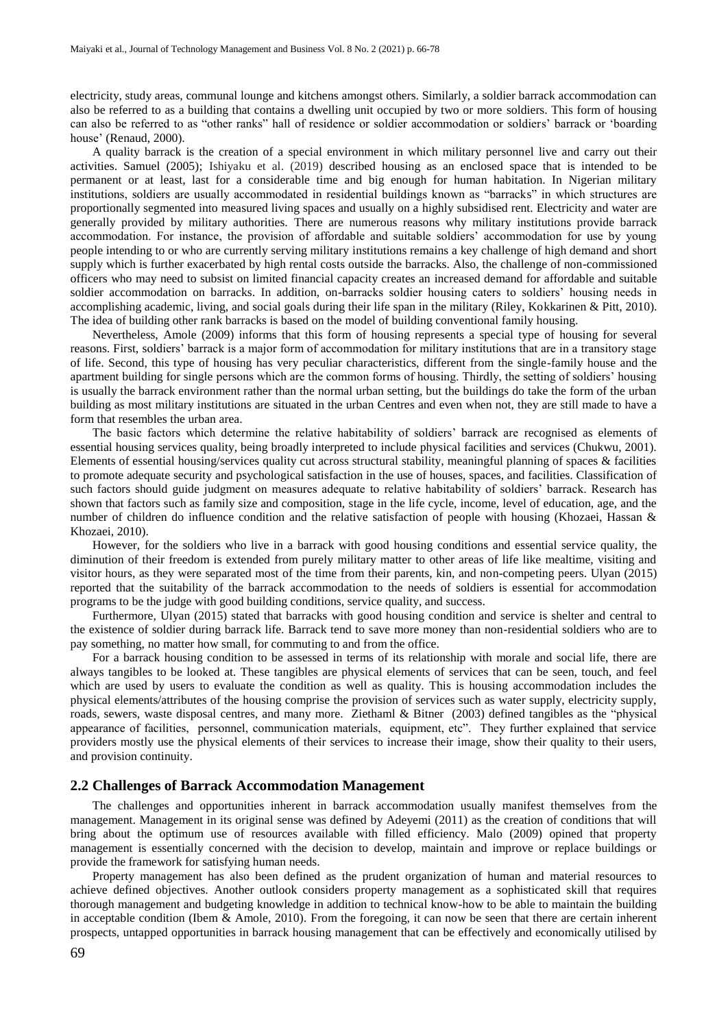electricity, study areas, communal lounge and kitchens amongst others. Similarly, a soldier barrack accommodation can also be referred to as a building that contains a dwelling unit occupied by two or more soldiers. This form of housing can also be referred to as "other ranks" hall of residence or soldier accommodation or soldiers' barrack or 'boarding house' (Renaud, 2000).

A quality barrack is the creation of a special environment in which military personnel live and carry out their activities. Samuel (2005); Ishiyaku et al. (2019) described housing as an enclosed space that is intended to be permanent or at least, last for a considerable time and big enough for human habitation. In Nigerian military institutions, soldiers are usually accommodated in residential buildings known as "barracks" in which structures are proportionally segmented into measured living spaces and usually on a highly subsidised rent. Electricity and water are generally provided by military authorities. There are numerous reasons why military institutions provide barrack accommodation. For instance, the provision of affordable and suitable soldiers' accommodation for use by young people intending to or who are currently serving military institutions remains a key challenge of high demand and short supply which is further exacerbated by high rental costs outside the barracks. Also, the challenge of non-commissioned officers who may need to subsist on limited financial capacity creates an increased demand for affordable and suitable soldier accommodation on barracks. In addition, on-barracks soldier housing caters to soldiers' housing needs in accomplishing academic, living, and social goals during their life span in the military (Riley, Kokkarinen & Pitt, 2010). The idea of building other rank barracks is based on the model of building conventional family housing.

Nevertheless, Amole (2009) informs that this form of housing represents a special type of housing for several reasons. First, soldiers' barrack is a major form of accommodation for military institutions that are in a transitory stage of life. Second, this type of housing has very peculiar characteristics, different from the single-family house and the apartment building for single persons which are the common forms of housing. Thirdly, the setting of soldiers' housing is usually the barrack environment rather than the normal urban setting, but the buildings do take the form of the urban building as most military institutions are situated in the urban Centres and even when not, they are still made to have a form that resembles the urban area.

The basic factors which determine the relative habitability of soldiers' barrack are recognised as elements of essential housing services quality, being broadly interpreted to include physical facilities and services (Chukwu, 2001). Elements of essential housing/services quality cut across structural stability, meaningful planning of spaces & facilities to promote adequate security and psychological satisfaction in the use of houses, spaces, and facilities. Classification of such factors should guide judgment on measures adequate to relative habitability of soldiers' barrack. Research has shown that factors such as family size and composition, stage in the life cycle, income, level of education, age, and the number of children do influence condition and the relative satisfaction of people with housing (Khozaei, Hassan & Khozaei, 2010).

However, for the soldiers who live in a barrack with good housing conditions and essential service quality, the diminution of their freedom is extended from purely military matter to other areas of life like mealtime, visiting and visitor hours, as they were separated most of the time from their parents, kin, and non-competing peers. Ulyan (2015) reported that the suitability of the barrack accommodation to the needs of soldiers is essential for accommodation programs to be the judge with good building conditions, service quality, and success.

Furthermore, Ulyan (2015) stated that barracks with good housing condition and service is shelter and central to the existence of soldier during barrack life. Barrack tend to save more money than non-residential soldiers who are to pay something, no matter how small, for commuting to and from the office.

For a barrack housing condition to be assessed in terms of its relationship with morale and social life, there are always tangibles to be looked at. These tangibles are physical elements of services that can be seen, touch, and feel which are used by users to evaluate the condition as well as quality. This is housing accommodation includes the physical elements/attributes of the housing comprise the provision of services such as water supply, electricity supply, roads, sewers, waste disposal centres, and many more. Ziethaml & Bitner (2003) defined tangibles as the "physical appearance of facilities, personnel, communication materials, equipment, etc". They further explained that service providers mostly use the physical elements of their services to increase their image, show their quality to their users, and provision continuity.

#### **2.2 Challenges of Barrack Accommodation Management**

The challenges and opportunities inherent in barrack accommodation usually manifest themselves from the management. Management in its original sense was defined by Adeyemi (2011) as the creation of conditions that will bring about the optimum use of resources available with filled efficiency. Malo (2009) opined that property management is essentially concerned with the decision to develop, maintain and improve or replace buildings or provide the framework for satisfying human needs.

Property management has also been defined as the prudent organization of human and material resources to achieve defined objectives. Another outlook considers property management as a sophisticated skill that requires thorough management and budgeting knowledge in addition to technical know-how to be able to maintain the building in acceptable condition (Ibem & Amole, 2010). From the foregoing, it can now be seen that there are certain inherent prospects, untapped opportunities in barrack housing management that can be effectively and economically utilised by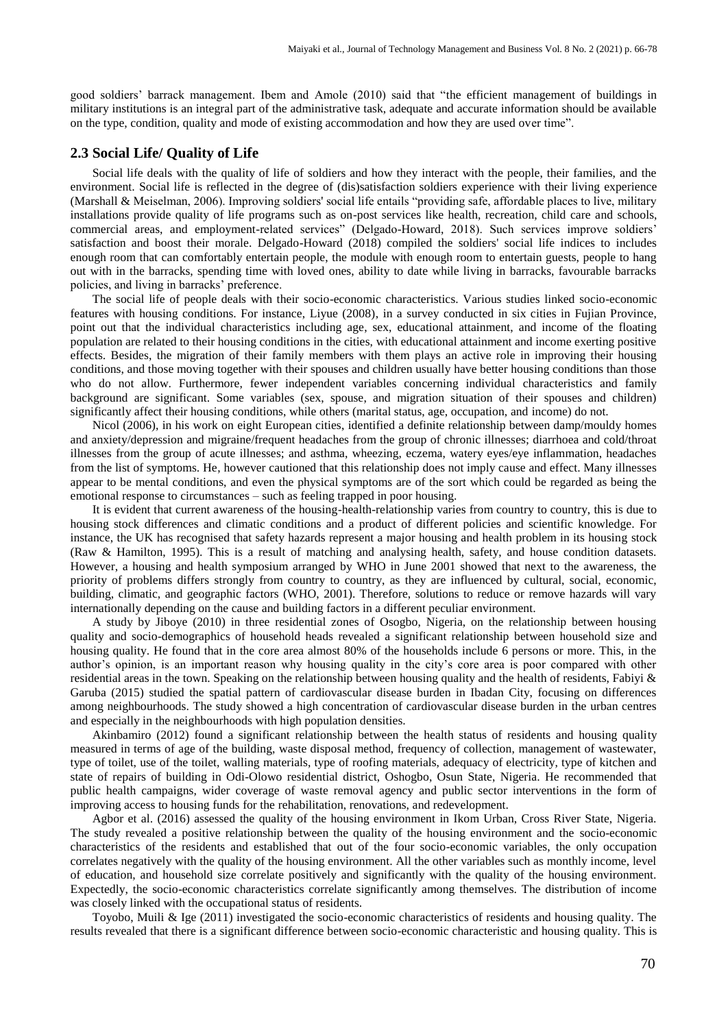good soldiers' barrack management. Ibem and Amole (2010) said that "the efficient management of buildings in military institutions is an integral part of the administrative task, adequate and accurate information should be available on the type, condition, quality and mode of existing accommodation and how they are used over time".

## **2.3 Social Life/ Quality of Life**

Social life deals with the quality of life of soldiers and how they interact with the people, their families, and the environment. Social life is reflected in the degree of (dis)satisfaction soldiers experience with their living experience (Marshall & Meiselman, 2006). Improving soldiers' social life entails "providing safe, affordable places to live, military installations provide quality of life programs such as on-post services like health, recreation, child care and schools, commercial areas, and employment-related services" (Delgado-Howard, 2018). Such services improve soldiers' satisfaction and boost their morale. Delgado-Howard (2018) compiled the soldiers' social life indices to includes enough room that can comfortably entertain people, the module with enough room to entertain guests, people to hang out with in the barracks, spending time with loved ones, ability to date while living in barracks, favourable barracks policies, and living in barracks' preference.

The social life of people deals with their socio-economic characteristics. Various studies linked socio-economic features with housing conditions. For instance, Liyue (2008), in a survey conducted in six cities in Fujian Province, point out that the individual characteristics including age, sex, educational attainment, and income of the floating population are related to their housing conditions in the cities, with educational attainment and income exerting positive effects. Besides, the migration of their family members with them plays an active role in improving their housing conditions, and those moving together with their spouses and children usually have better housing conditions than those who do not allow. Furthermore, fewer independent variables concerning individual characteristics and family background are significant. Some variables (sex, spouse, and migration situation of their spouses and children) significantly affect their housing conditions, while others (marital status, age, occupation, and income) do not.

Nicol (2006), in his work on eight European cities, identified a definite relationship between damp/mouldy homes and anxiety/depression and migraine/frequent headaches from the group of chronic illnesses; diarrhoea and cold/throat illnesses from the group of acute illnesses; and asthma, wheezing, eczema, watery eyes/eye inflammation, headaches from the list of symptoms. He, however cautioned that this relationship does not imply cause and effect. Many illnesses appear to be mental conditions, and even the physical symptoms are of the sort which could be regarded as being the emotional response to circumstances – such as feeling trapped in poor housing.

It is evident that current awareness of the housing-health-relationship varies from country to country, this is due to housing stock differences and climatic conditions and a product of different policies and scientific knowledge. For instance, the UK has recognised that safety hazards represent a major housing and health problem in its housing stock (Raw & Hamilton, 1995). This is a result of matching and analysing health, safety, and house condition datasets. However, a housing and health symposium arranged by WHO in June 2001 showed that next to the awareness, the priority of problems differs strongly from country to country, as they are influenced by cultural, social, economic, building, climatic, and geographic factors (WHO, 2001). Therefore, solutions to reduce or remove hazards will vary internationally depending on the cause and building factors in a different peculiar environment.

A study by Jiboye (2010) in three residential zones of Osogbo, Nigeria, on the relationship between housing quality and socio-demographics of household heads revealed a significant relationship between household size and housing quality. He found that in the core area almost 80% of the households include 6 persons or more. This, in the author's opinion, is an important reason why housing quality in the city's core area is poor compared with other residential areas in the town. Speaking on the relationship between housing quality and the health of residents, Fabiyi  $\&$ Garuba (2015) studied the spatial pattern of cardiovascular disease burden in Ibadan City, focusing on differences among neighbourhoods. The study showed a high concentration of cardiovascular disease burden in the urban centres and especially in the neighbourhoods with high population densities.

Akinbamiro (2012) found a significant relationship between the health status of residents and housing quality measured in terms of age of the building, waste disposal method, frequency of collection, management of wastewater, type of toilet, use of the toilet, walling materials, type of roofing materials, adequacy of electricity, type of kitchen and state of repairs of building in Odi-Olowo residential district, Oshogbo, Osun State, Nigeria. He recommended that public health campaigns, wider coverage of waste removal agency and public sector interventions in the form of improving access to housing funds for the rehabilitation, renovations, and redevelopment.

Agbor et al. (2016) assessed the quality of the housing environment in Ikom Urban, Cross River State, Nigeria. The study revealed a positive relationship between the quality of the housing environment and the socio-economic characteristics of the residents and established that out of the four socio-economic variables, the only occupation correlates negatively with the quality of the housing environment. All the other variables such as monthly income, level of education, and household size correlate positively and significantly with the quality of the housing environment. Expectedly, the socio-economic characteristics correlate significantly among themselves. The distribution of income was closely linked with the occupational status of residents.

Toyobo, Muili & Ige (2011) investigated the socio-economic characteristics of residents and housing quality. The results revealed that there is a significant difference between socio-economic characteristic and housing quality. This is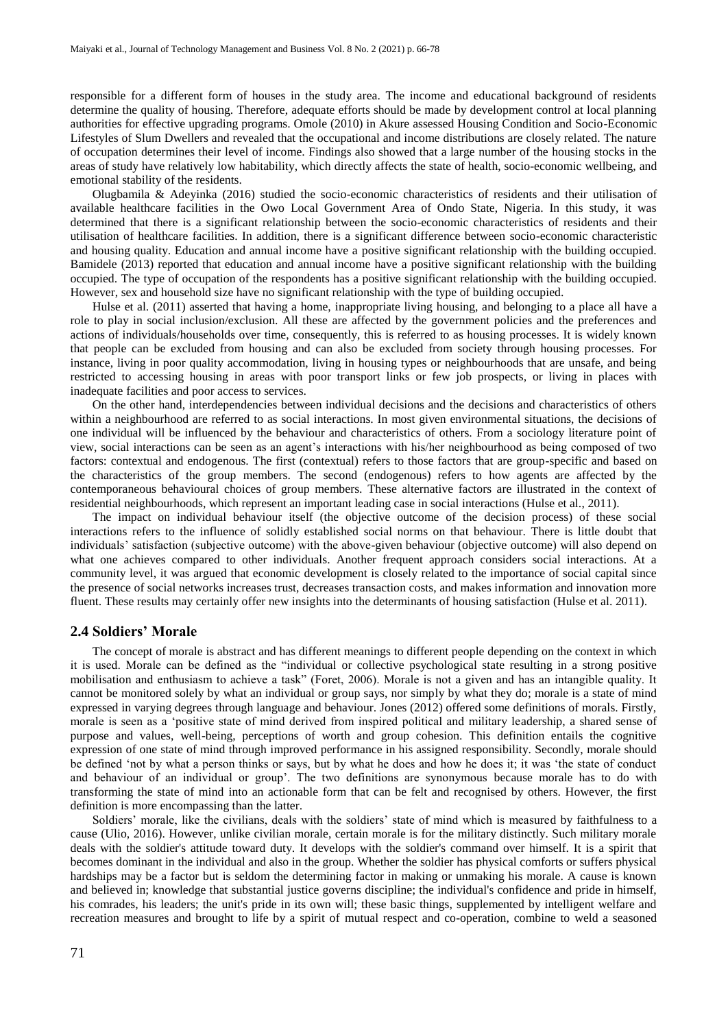responsible for a different form of houses in the study area. The income and educational background of residents determine the quality of housing. Therefore, adequate efforts should be made by development control at local planning authorities for effective upgrading programs. Omole (2010) in Akure assessed Housing Condition and Socio-Economic Lifestyles of Slum Dwellers and revealed that the occupational and income distributions are closely related. The nature of occupation determines their level of income. Findings also showed that a large number of the housing stocks in the areas of study have relatively low habitability, which directly affects the state of health, socio-economic wellbeing, and emotional stability of the residents.

Olugbamila & Adeyinka (2016) studied the socio-economic characteristics of residents and their utilisation of available healthcare facilities in the Owo Local Government Area of Ondo State, Nigeria. In this study, it was determined that there is a significant relationship between the socio-economic characteristics of residents and their utilisation of healthcare facilities. In addition, there is a significant difference between socio-economic characteristic and housing quality. Education and annual income have a positive significant relationship with the building occupied. Bamidele (2013) reported that education and annual income have a positive significant relationship with the building occupied. The type of occupation of the respondents has a positive significant relationship with the building occupied. However, sex and household size have no significant relationship with the type of building occupied.

Hulse et al. (2011) asserted that having a home, inappropriate living housing, and belonging to a place all have a role to play in social inclusion/exclusion. All these are affected by the government policies and the preferences and actions of individuals/households over time, consequently, this is referred to as housing processes. It is widely known that people can be excluded from housing and can also be excluded from society through housing processes. For instance, living in poor quality accommodation, living in housing types or neighbourhoods that are unsafe, and being restricted to accessing housing in areas with poor transport links or few job prospects, or living in places with inadequate facilities and poor access to services.

On the other hand, interdependencies between individual decisions and the decisions and characteristics of others within a neighbourhood are referred to as social interactions. In most given environmental situations, the decisions of one individual will be influenced by the behaviour and characteristics of others. From a sociology literature point of view, social interactions can be seen as an agent's interactions with his/her neighbourhood as being composed of two factors: contextual and endogenous. The first (contextual) refers to those factors that are group-specific and based on the characteristics of the group members. The second (endogenous) refers to how agents are affected by the contemporaneous behavioural choices of group members. These alternative factors are illustrated in the context of residential neighbourhoods, which represent an important leading case in social interactions (Hulse et al., 2011).

The impact on individual behaviour itself (the objective outcome of the decision process) of these social interactions refers to the influence of solidly established social norms on that behaviour. There is little doubt that individuals' satisfaction (subjective outcome) with the above-given behaviour (objective outcome) will also depend on what one achieves compared to other individuals. Another frequent approach considers social interactions. At a community level, it was argued that economic development is closely related to the importance of social capital since the presence of social networks increases trust, decreases transaction costs, and makes information and innovation more fluent. These results may certainly offer new insights into the determinants of housing satisfaction (Hulse et al. 2011).

#### **2.4 Soldiers' Morale**

The concept of morale is abstract and has different meanings to different people depending on the context in which it is used. Morale can be defined as the "individual or collective psychological state resulting in a strong positive mobilisation and enthusiasm to achieve a task" (Foret, 2006). Morale is not a given and has an intangible quality. It cannot be monitored solely by what an individual or group says, nor simply by what they do; morale is a state of mind expressed in varying degrees through language and behaviour. Jones (2012) offered some definitions of morals. Firstly, morale is seen as a 'positive state of mind derived from inspired political and military leadership, a shared sense of purpose and values, well-being, perceptions of worth and group cohesion. This definition entails the cognitive expression of one state of mind through improved performance in his assigned responsibility. Secondly, morale should be defined 'not by what a person thinks or says, but by what he does and how he does it; it was 'the state of conduct and behaviour of an individual or group'. The two definitions are synonymous because morale has to do with transforming the state of mind into an actionable form that can be felt and recognised by others. However, the first definition is more encompassing than the latter.

Soldiers' morale, like the civilians, deals with the soldiers' state of mind which is measured by faithfulness to a cause (Ulio, 2016). However, unlike civilian morale, certain morale is for the military distinctly. Such military morale deals with the soldier's attitude toward duty. It develops with the soldier's command over himself. It is a spirit that becomes dominant in the individual and also in the group. Whether the soldier has physical comforts or suffers physical hardships may be a factor but is seldom the determining factor in making or unmaking his morale. A cause is known and believed in; knowledge that substantial justice governs discipline; the individual's confidence and pride in himself, his comrades, his leaders; the unit's pride in its own will; these basic things, supplemented by intelligent welfare and recreation measures and brought to life by a spirit of mutual respect and co-operation, combine to weld a seasoned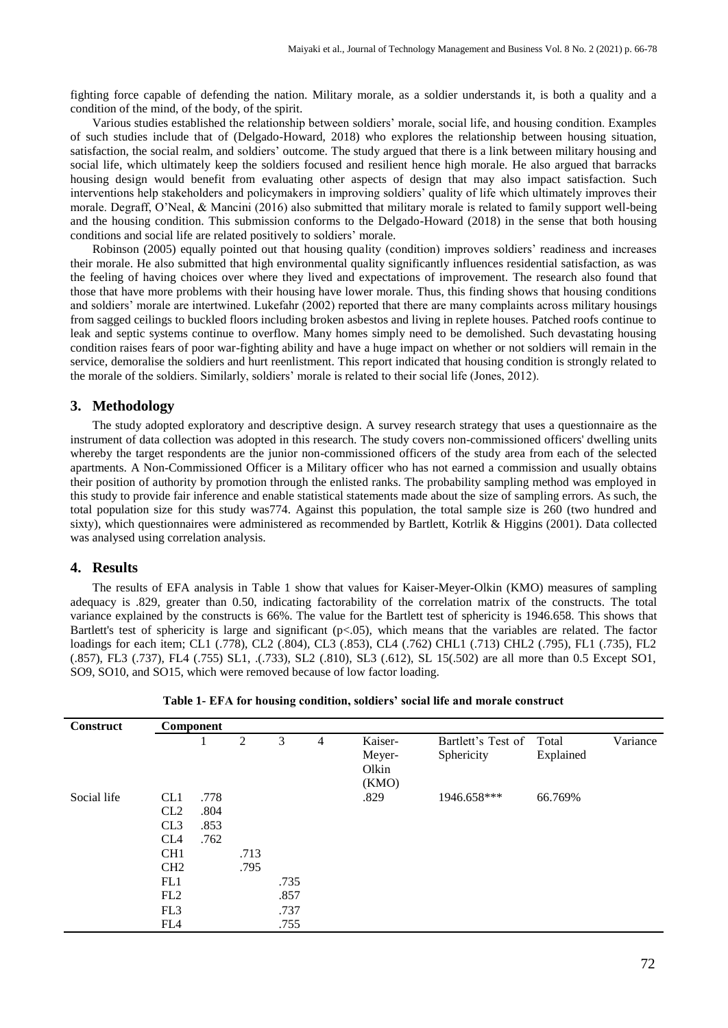fighting force capable of defending the nation. Military morale, as a soldier understands it, is both a quality and a condition of the mind, of the body, of the spirit.

Various studies established the relationship between soldiers' morale, social life, and housing condition. Examples of such studies include that of (Delgado-Howard, 2018) who explores the relationship between housing situation, satisfaction, the social realm, and soldiers' outcome. The study argued that there is a link between military housing and social life, which ultimately keep the soldiers focused and resilient hence high morale. He also argued that barracks housing design would benefit from evaluating other aspects of design that may also impact satisfaction. Such interventions help stakeholders and policymakers in improving soldiers' quality of life which ultimately improves their morale. Degraff, O'Neal, & Mancini (2016) also submitted that military morale is related to family support well-being and the housing condition. This submission conforms to the Delgado-Howard (2018) in the sense that both housing conditions and social life are related positively to soldiers' morale.

Robinson (2005) equally pointed out that housing quality (condition) improves soldiers' readiness and increases their morale. He also submitted that high environmental quality significantly influences residential satisfaction, as was the feeling of having choices over where they lived and expectations of improvement. The research also found that those that have more problems with their housing have lower morale. Thus, this finding shows that housing conditions and soldiers' morale are intertwined. Lukefahr (2002) reported that there are many complaints across military housings from sagged ceilings to buckled floors including broken asbestos and living in replete houses. Patched roofs continue to leak and septic systems continue to overflow. Many homes simply need to be demolished. Such devastating housing condition raises fears of poor war-fighting ability and have a huge impact on whether or not soldiers will remain in the service, demoralise the soldiers and hurt reenlistment. This report indicated that housing condition is strongly related to the morale of the soldiers. Similarly, soldiers' morale is related to their social life (Jones, 2012).

## **3. Methodology**

The study adopted exploratory and descriptive design. A survey research strategy that uses a questionnaire as the instrument of data collection was adopted in this research. The study covers non-commissioned officers' dwelling units whereby the target respondents are the junior non-commissioned officers of the study area from each of the selected apartments. A Non-Commissioned Officer is a Military officer who has not earned a commission and usually obtains their position of authority by promotion through the enlisted ranks. The probability sampling method was employed in this study to provide fair inference and enable statistical statements made about the size of sampling errors. As such, the total population size for this study was774. Against this population, the total sample size is 260 (two hundred and sixty), which questionnaires were administered as recommended by Bartlett, Kotrlik & Higgins (2001). Data collected was analysed using correlation analysis.

#### **4. Results**

The results of EFA analysis in Table 1 show that values for Kaiser-Meyer-Olkin (KMO) measures of sampling adequacy is .829, greater than 0.50, indicating factorability of the correlation matrix of the constructs. The total variance explained by the constructs is 66%. The value for the Bartlett test of sphericity is 1946.658. This shows that Bartlett's test of sphericity is large and significant  $(p<0.05)$ , which means that the variables are related. The factor loadings for each item; CL1 (.778), CL2 (.804), CL3 (.853), CL4 (.762) CHL1 (.713) CHL2 (.795), FL1 (.735), FL2 (.857), FL3 (.737), FL4 (.755) SL1, .(.733), SL2 (.810), SL3 (.612), SL 15(.502) are all more than 0.5 Except SO1, SO9, SO10, and SO15, which were removed because of low factor loading.

| Construct   | <b>Component</b>                                                                                                                                       |                              |              |                              |   |                                     |                                  |                    |          |
|-------------|--------------------------------------------------------------------------------------------------------------------------------------------------------|------------------------------|--------------|------------------------------|---|-------------------------------------|----------------------------------|--------------------|----------|
|             |                                                                                                                                                        |                              | 2            | 3                            | 4 | Kaiser-<br>Meyer-<br>Olkin<br>(KMO) | Bartlett's Test of<br>Sphericity | Total<br>Explained | Variance |
| Social life | CL <sub>1</sub><br>CL2<br>CL3<br>CL <sub>4</sub><br>CH <sub>1</sub><br>CH <sub>2</sub><br>FL1<br>FL <sub>2</sub><br>FL <sub>3</sub><br>FL <sub>4</sub> | .778<br>.804<br>.853<br>.762 | .713<br>.795 | .735<br>.857<br>.737<br>.755 |   | .829                                | 1946.658***                      | 66.769%            |          |

**Table 1- EFA for housing condition, soldiers' social life and morale construct**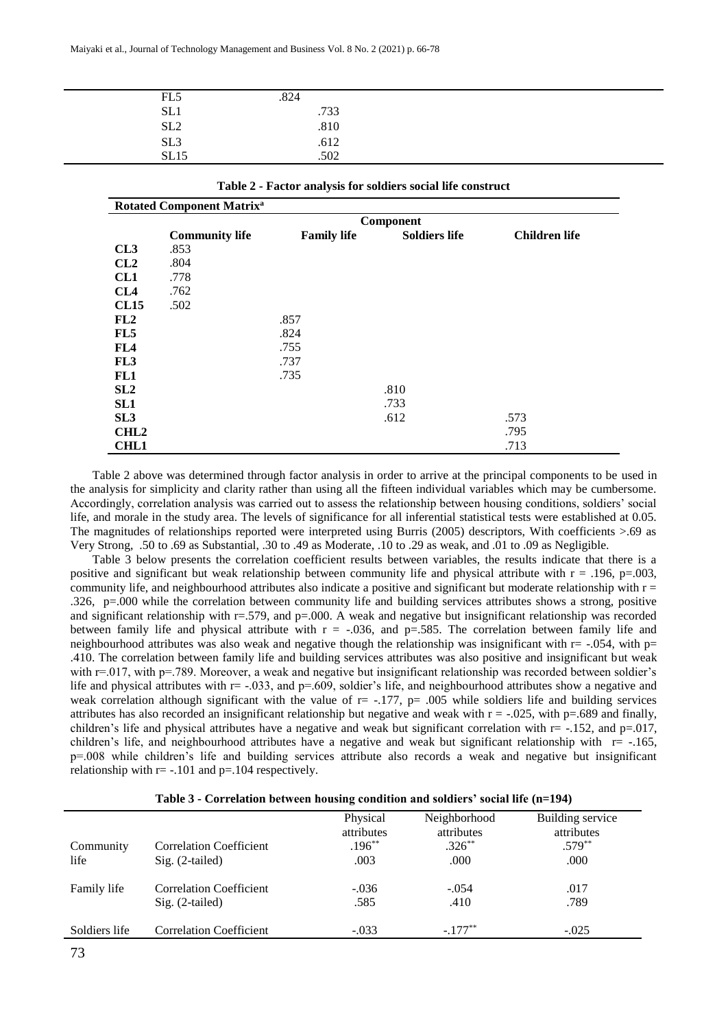| FL5             | .824             |  |
|-----------------|------------------|--|
| SL <sub>1</sub> | .733             |  |
| SL <sub>2</sub> | .810             |  |
| SL3<br>SL15     | $.612$<br>$.502$ |  |
|                 |                  |  |

| <b>Rotated Component Matrix<sup>a</sup></b> |                       |                    |                      |                      |  |  |  |
|---------------------------------------------|-----------------------|--------------------|----------------------|----------------------|--|--|--|
|                                             | Component             |                    |                      |                      |  |  |  |
|                                             | <b>Community life</b> | <b>Family life</b> | <b>Soldiers life</b> | <b>Children</b> life |  |  |  |
| CL3                                         | .853                  |                    |                      |                      |  |  |  |
| CL2                                         | .804                  |                    |                      |                      |  |  |  |
| CL1                                         | .778                  |                    |                      |                      |  |  |  |
| CL4                                         | .762                  |                    |                      |                      |  |  |  |
| <b>CL15</b>                                 | .502                  |                    |                      |                      |  |  |  |
| FL2                                         |                       | .857               |                      |                      |  |  |  |
| FL5                                         |                       | .824               |                      |                      |  |  |  |
| FL4                                         |                       | .755               |                      |                      |  |  |  |
| FL <sub>3</sub>                             |                       | .737               |                      |                      |  |  |  |
| FL1                                         |                       | .735               |                      |                      |  |  |  |
| SL2                                         |                       |                    | .810                 |                      |  |  |  |
| SL1                                         |                       |                    | .733                 |                      |  |  |  |
| SL <sub>3</sub>                             |                       |                    | .612                 | .573                 |  |  |  |
| CHL <sub>2</sub>                            |                       |                    |                      | .795                 |  |  |  |
| <b>CHL1</b>                                 |                       |                    |                      | .713                 |  |  |  |

**Table 2 - Factor analysis for soldiers social life construct**

Table 2 above was determined through factor analysis in order to arrive at the principal components to be used in the analysis for simplicity and clarity rather than using all the fifteen individual variables which may be cumbersome. Accordingly, correlation analysis was carried out to assess the relationship between housing conditions, soldiers' social life, and morale in the study area. The levels of significance for all inferential statistical tests were established at 0.05. The magnitudes of relationships reported were interpreted using Burris (2005) descriptors, With coefficients >.69 as Very Strong, .50 to .69 as Substantial, .30 to .49 as Moderate, .10 to .29 as weak, and .01 to .09 as Negligible.

Table 3 below presents the correlation coefficient results between variables, the results indicate that there is a positive and significant but weak relationship between community life and physical attribute with  $r = .196$ ,  $p = .003$ , community life, and neighbourhood attributes also indicate a positive and significant but moderate relationship with  $r =$ .326, p=.000 while the correlation between community life and building services attributes shows a strong, positive and significant relationship with r=.579, and p=.000. A weak and negative but insignificant relationship was recorded between family life and physical attribute with  $r = -0.036$ , and  $p = 0.585$ . The correlation between family life and neighbourhood attributes was also weak and negative though the relationship was insignificant with  $r = -0.054$ , with p= .410. The correlation between family life and building services attributes was also positive and insignificant but weak with  $r=0.017$ , with  $p=789$ . Moreover, a weak and negative but insignificant relationship was recorded between soldier's life and physical attributes with  $r = -.033$ , and  $p = .609$ , soldier's life, and neighbourhood attributes show a negative and weak correlation although significant with the value of  $r = -.177$ ,  $p = .005$  while soldiers life and building services attributes has also recorded an insignificant relationship but negative and weak with  $r = -0.025$ , with p=.689 and finally, children's life and physical attributes have a negative and weak but significant correlation with  $r = -152$ , and  $p = .017$ , children's life, and neighbourhood attributes have a negative and weak but significant relationship with  $r = -165$ , p=.008 while children's life and building services attribute also records a weak and negative but insignificant relationship with  $r = -101$  and  $p = 104$  respectively.

|               |                                | Physical<br>attributes | Neighborhood<br>attributes | Building service<br>attributes |
|---------------|--------------------------------|------------------------|----------------------------|--------------------------------|
| Community     | <b>Correlation Coefficient</b> | $.196***$              | $.326***$                  | $.579***$                      |
| life          | Sig. (2-tailed)                | .003                   | .000                       | .000                           |
| Family life   | <b>Correlation Coefficient</b> | $-.036$                | $-.054$                    | .017                           |
|               | $Sig. (2-tailed)$              | .585                   | .410                       | .789                           |
| Soldiers life | <b>Correlation Coefficient</b> | $-.033$                | $-.177**$                  | $-.025$                        |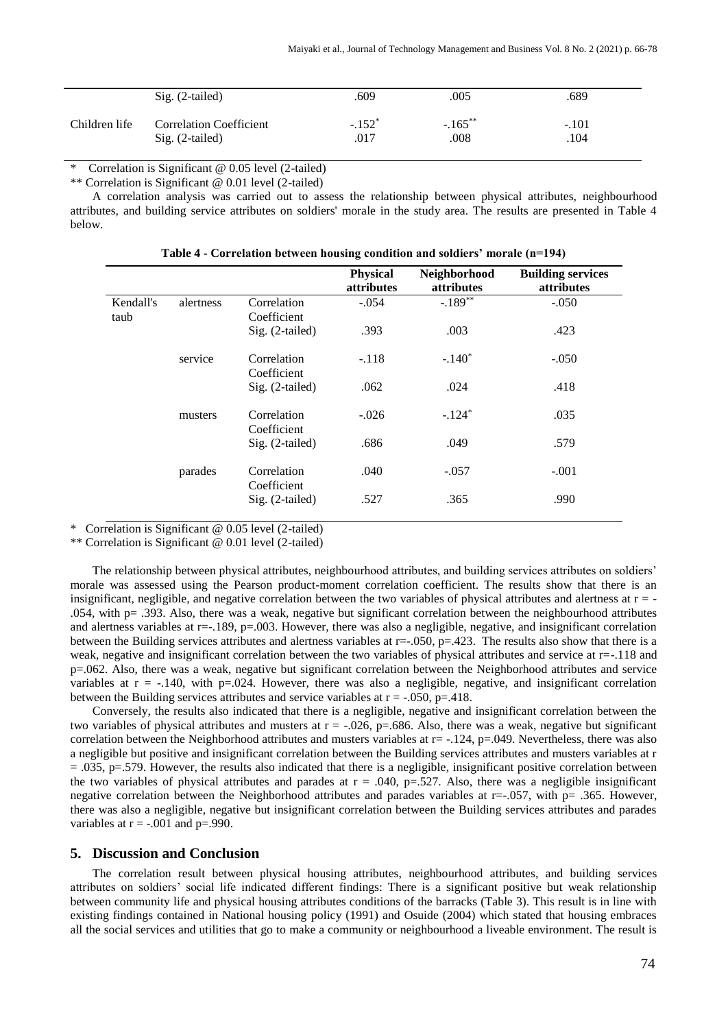|               | $Sig. (2-tailed)$              | .609     | .005       | .689    |
|---------------|--------------------------------|----------|------------|---------|
| Children life | <b>Correlation Coefficient</b> | $-.152*$ | $-.165***$ | $-.101$ |
|               | $Sig. (2-tailed)$              | .017     | .008       | .104    |

Correlation is Significant  $@$  0.05 level (2-tailed)

\*\* Correlation is Significant @ 0.01 level (2-tailed)

A correlation analysis was carried out to assess the relationship between physical attributes, neighbourhood attributes, and building service attributes on soldiers' morale in the study area. The results are presented in Table 4 below.

|                   |           |                            | <b>Physical</b><br><i>attributes</i> | Neighborhood<br><i>attributes</i> | <b>Building services</b><br><i>attributes</i> |
|-------------------|-----------|----------------------------|--------------------------------------|-----------------------------------|-----------------------------------------------|
| Kendall's<br>taub | alertness | Correlation<br>Coefficient | $-.054$                              | $-.189**$                         | $-.050$                                       |
|                   |           | Sig. (2-tailed)            | .393                                 | .003                              | .423                                          |
|                   | service   | Correlation<br>Coefficient | $-.118$                              | $-.140*$                          | $-.050$                                       |
|                   |           | Sig. (2-tailed)            | .062                                 | .024                              | .418                                          |
|                   | musters   | Correlation<br>Coefficient | $-.026$                              | $-.124*$                          | .035                                          |
|                   |           | $Sig. (2-tailed)$          | .686                                 | .049                              | .579                                          |
|                   | parades   | Correlation<br>Coefficient | .040                                 | $-.057$                           | $-.001$                                       |
|                   |           | Sig. (2-tailed)            | .527                                 | .365                              | .990                                          |

**Table 4 - Correlation between housing condition and soldiers' morale (n=194)**

\* Correlation is Significant @ 0.05 level (2-tailed)

\*\* Correlation is Significant @ 0.01 level (2-tailed)

The relationship between physical attributes, neighbourhood attributes, and building services attributes on soldiers' morale was assessed using the Pearson product-moment correlation coefficient. The results show that there is an insignificant, negligible, and negative correlation between the two variables of physical attributes and alertness at  $r = -$ .054, with p= .393. Also, there was a weak, negative but significant correlation between the neighbourhood attributes and alertness variables at  $r=-189$ ,  $p=.003$ . However, there was also a negligible, negative, and insignificant correlation between the Building services attributes and alertness variables at  $r = .050$ ,  $p = .423$ . The results also show that there is a weak, negative and insignificant correlation between the two variables of physical attributes and service at r=-.118 and p=.062. Also, there was a weak, negative but significant correlation between the Neighborhood attributes and service variables at  $r = -.140$ , with  $p=.024$ . However, there was also a negligible, negative, and insignificant correlation between the Building services attributes and service variables at  $r = -0.050$ ,  $p = 0.418$ .

Conversely, the results also indicated that there is a negligible, negative and insignificant correlation between the two variables of physical attributes and musters at  $r = -0.026$ , p=.686. Also, there was a weak, negative but significant correlation between the Neighborhood attributes and musters variables at  $r = -0.124$ ,  $p = 0.049$ . Nevertheless, there was also a negligible but positive and insignificant correlation between the Building services attributes and musters variables at r  $= .035$ , p $= .579$ . However, the results also indicated that there is a negligible, insignificant positive correlation between the two variables of physical attributes and parades at  $r = .040$ ,  $p = .527$ . Also, there was a negligible insignificant negative correlation between the Neighborhood attributes and parades variables at r=-.057, with p= .365. However, there was also a negligible, negative but insignificant correlation between the Building services attributes and parades variables at  $r = -.001$  and  $p = .990$ .

# **5. Discussion and Conclusion**

The correlation result between physical housing attributes, neighbourhood attributes, and building services attributes on soldiers' social life indicated different findings: There is a significant positive but weak relationship between community life and physical housing attributes conditions of the barracks (Table 3). This result is in line with existing findings contained in National housing policy (1991) and Osuide (2004) which stated that housing embraces all the social services and utilities that go to make a community or neighbourhood a liveable environment. The result is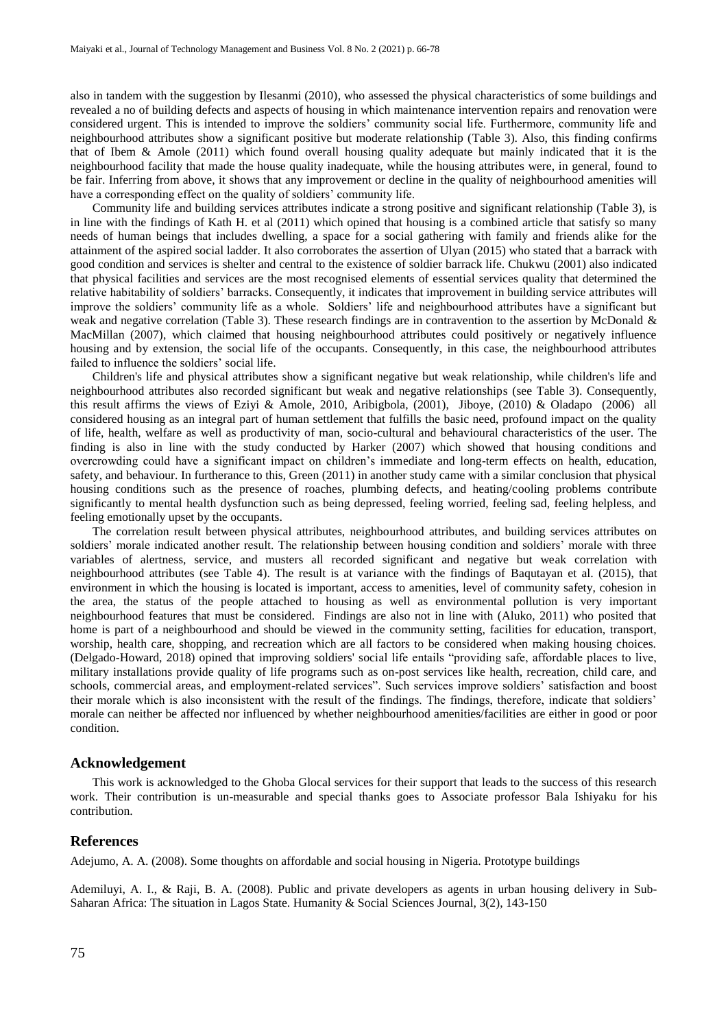also in tandem with the suggestion by Ilesanmi (2010), who assessed the physical characteristics of some buildings and revealed a no of building defects and aspects of housing in which maintenance intervention repairs and renovation were considered urgent. This is intended to improve the soldiers' community social life. Furthermore, community life and neighbourhood attributes show a significant positive but moderate relationship (Table 3). Also, this finding confirms that of Ibem & Amole (2011) which found overall housing quality adequate but mainly indicated that it is the neighbourhood facility that made the house quality inadequate, while the housing attributes were, in general, found to be fair. Inferring from above, it shows that any improvement or decline in the quality of neighbourhood amenities will have a corresponding effect on the quality of soldiers' community life.

Community life and building services attributes indicate a strong positive and significant relationship (Table 3), is in line with the findings of Kath H. et al (2011) which opined that housing is a combined article that satisfy so many needs of human beings that includes dwelling, a space for a social gathering with family and friends alike for the attainment of the aspired social ladder. It also corroborates the assertion of Ulyan (2015) who stated that a barrack with good condition and services is shelter and central to the existence of soldier barrack life. Chukwu (2001) also indicated that physical facilities and services are the most recognised elements of essential services quality that determined the relative habitability of soldiers' barracks. Consequently, it indicates that improvement in building service attributes will improve the soldiers' community life as a whole. Soldiers' life and neighbourhood attributes have a significant but weak and negative correlation (Table 3). These research findings are in contravention to the assertion by McDonald & MacMillan (2007), which claimed that housing neighbourhood attributes could positively or negatively influence housing and by extension, the social life of the occupants. Consequently, in this case, the neighbourhood attributes failed to influence the soldiers' social life.

Children's life and physical attributes show a significant negative but weak relationship, while children's life and neighbourhood attributes also recorded significant but weak and negative relationships (see Table 3). Consequently, this result affirms the views of Eziyi & Amole, 2010, Aribigbola, (2001), Jiboye, (2010) & Oladapo (2006) all considered housing as an integral part of human settlement that fulfills the basic need, profound impact on the quality of life, health, welfare as well as productivity of man, socio-cultural and behavioural characteristics of the user. The finding is also in line with the study conducted by Harker (2007) which showed that housing conditions and overcrowding could have a significant impact on children's immediate and long-term effects on health, education, safety, and behaviour. In furtherance to this, Green (2011) in another study came with a similar conclusion that physical housing conditions such as the presence of roaches, plumbing defects, and heating/cooling problems contribute significantly to mental health dysfunction such as being depressed, feeling worried, feeling sad, feeling helpless, and feeling emotionally upset by the occupants.

The correlation result between physical attributes, neighbourhood attributes, and building services attributes on soldiers' morale indicated another result. The relationship between housing condition and soldiers' morale with three variables of alertness, service, and musters all recorded significant and negative but weak correlation with neighbourhood attributes (see Table 4). The result is at variance with the findings of Baqutayan et al. (2015), that environment in which the housing is located is important, access to amenities, level of community safety, cohesion in the area, the status of the people attached to housing as well as environmental pollution is very important neighbourhood features that must be considered. Findings are also not in line with (Aluko, 2011) who posited that home is part of a neighbourhood and should be viewed in the community setting, facilities for education, transport, worship, health care, shopping, and recreation which are all factors to be considered when making housing choices. (Delgado-Howard, 2018) opined that improving soldiers' social life entails "providing safe, affordable places to live, military installations provide quality of life programs such as on-post services like health, recreation, child care, and schools, commercial areas, and employment-related services". Such services improve soldiers' satisfaction and boost their morale which is also inconsistent with the result of the findings. The findings, therefore, indicate that soldiers' morale can neither be affected nor influenced by whether neighbourhood amenities/facilities are either in good or poor condition.

#### **Acknowledgement**

This work is acknowledged to the Ghoba Glocal services for their support that leads to the success of this research work. Their contribution is un-measurable and special thanks goes to Associate professor Bala Ishiyaku for his contribution.

#### **References**

Adejumo, A. A. (2008). Some thoughts on affordable and social housing in Nigeria. Prototype buildings

Ademiluyi, A. I., & Raji, B. A. (2008). Public and private developers as agents in urban housing delivery in Sub-Saharan Africa: The situation in Lagos State. Humanity & Social Sciences Journal, 3(2), 143-150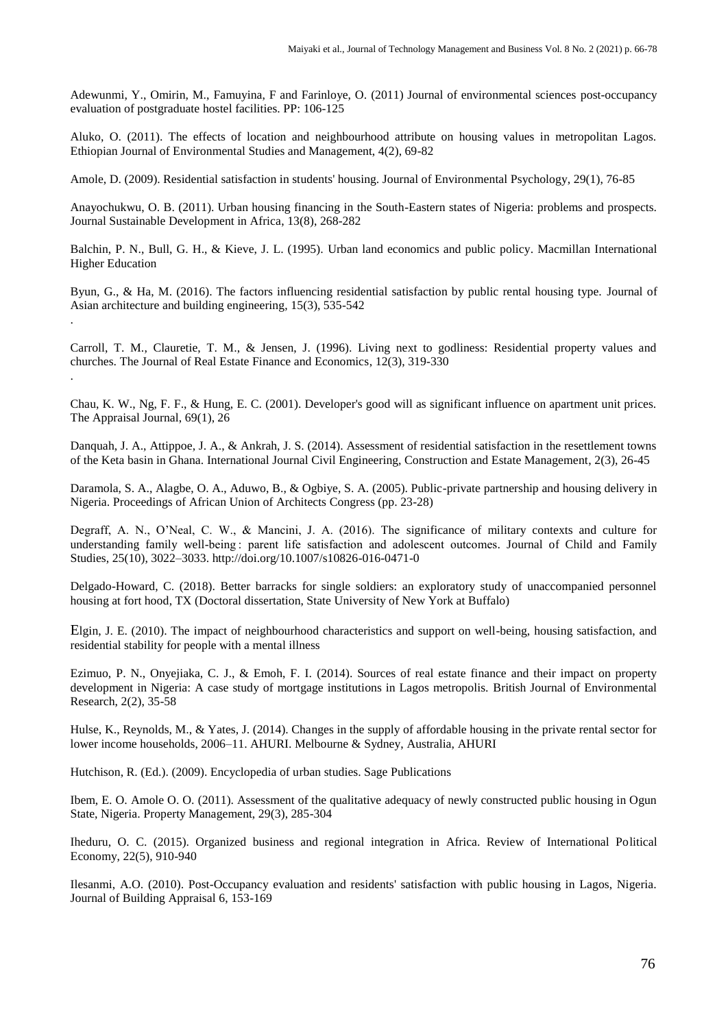Adewunmi, Y., Omirin, M., Famuyina, F and Farinloye, O. (2011) Journal of environmental sciences post-occupancy evaluation of postgraduate hostel facilities. PP: 106-125

Aluko, O. (2011). The effects of location and neighbourhood attribute on housing values in metropolitan Lagos. Ethiopian Journal of Environmental Studies and Management, 4(2), 69-82

Amole, D. (2009). Residential satisfaction in students' housing. Journal of Environmental Psychology, 29(1), 76-85

Anayochukwu, O. B. (2011). Urban housing financing in the South-Eastern states of Nigeria: problems and prospects. Journal Sustainable Development in Africa, 13(8), 268-282

Balchin, P. N., Bull, G. H., & Kieve, J. L. (1995). Urban land economics and public policy. Macmillan International Higher Education

Byun, G., & Ha, M. (2016). The factors influencing residential satisfaction by public rental housing type. Journal of Asian architecture and building engineering, 15(3), 535-542 .

Carroll, T. M., Clauretie, T. M., & Jensen, J. (1996). Living next to godliness: Residential property values and churches. The Journal of Real Estate Finance and Economics, 12(3), 319-330

Chau, K. W., Ng, F. F., & Hung, E. C. (2001). Developer's good will as significant influence on apartment unit prices. The Appraisal Journal, 69(1), 26

Danquah, J. A., Attippoe, J. A., & Ankrah, J. S. (2014). Assessment of residential satisfaction in the resettlement towns of the Keta basin in Ghana. International Journal Civil Engineering, Construction and Estate Management, 2(3), 26-45

Daramola, S. A., Alagbe, O. A., Aduwo, B., & Ogbiye, S. A. (2005). Public-private partnership and housing delivery in Nigeria. Proceedings of African Union of Architects Congress (pp. 23-28)

Degraff, A. N., O'Neal, C. W., & Mancini, J. A. (2016). The significance of military contexts and culture for understanding family well-being : parent life satisfaction and adolescent outcomes. Journal of Child and Family Studies, 25(10), 3022–3033. http://doi.org/10.1007/s10826-016-0471-0

Delgado-Howard, C. (2018). Better barracks for single soldiers: an exploratory study of unaccompanied personnel housing at fort hood, TX (Doctoral dissertation, State University of New York at Buffalo)

Elgin, J. E. (2010). The impact of neighbourhood characteristics and support on well-being, housing satisfaction, and residential stability for people with a mental illness

Ezimuo, P. N., Onyejiaka, C. J., & Emoh, F. I. (2014). Sources of real estate finance and their impact on property development in Nigeria: A case study of mortgage institutions in Lagos metropolis. British Journal of Environmental Research, 2(2), 35-58

Hulse, K., Reynolds, M., & Yates, J. (2014). Changes in the supply of affordable housing in the private rental sector for lower income households, 2006–11. AHURI. Melbourne & Sydney, Australia, AHURI

Hutchison, R. (Ed.). (2009). Encyclopedia of urban studies. Sage Publications

.

Ibem, E. O. Amole O. O. (2011). Assessment of the qualitative adequacy of newly constructed public housing in Ogun State, Nigeria. Property Management, 29(3), 285-304

Iheduru, O. C. (2015). Organized business and regional integration in Africa. Review of International Political Economy, 22(5), 910-940

Ilesanmi, A.O. (2010). Post-Occupancy evaluation and residents' satisfaction with public housing in Lagos, Nigeria. Journal of Building Appraisal 6, 153-169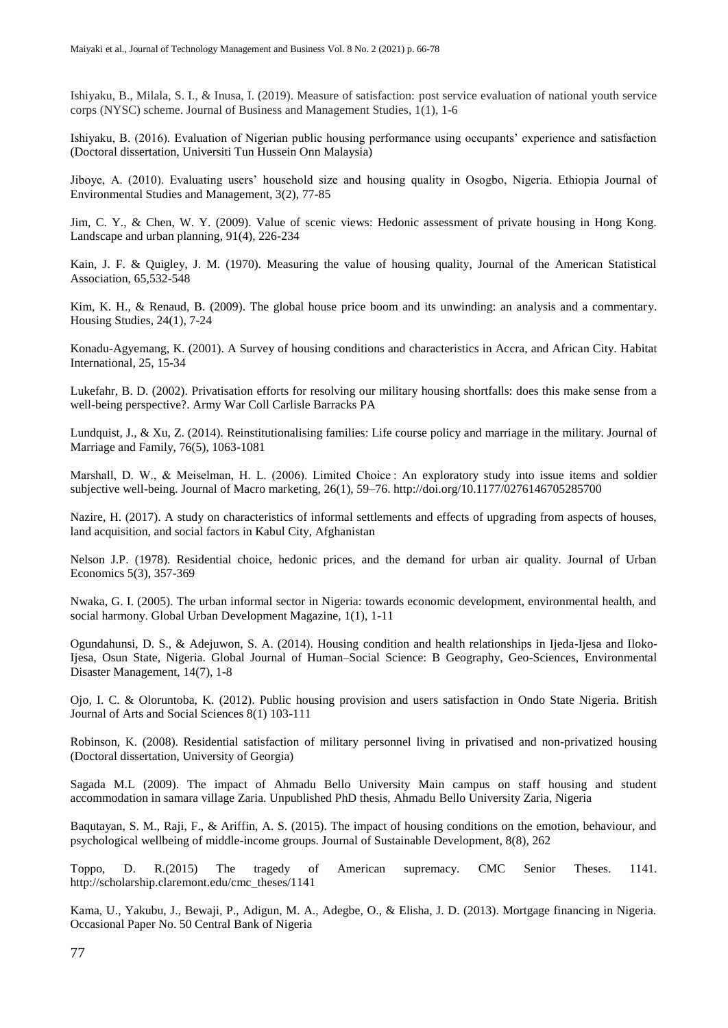Ishiyaku, B., Milala, S. I., & Inusa, I. (2019). Measure of satisfaction: post service evaluation of national youth service corps (NYSC) scheme. Journal of Business and Management Studies, 1(1), 1-6

Ishiyaku, B. (2016). Evaluation of Nigerian public housing performance using occupants' experience and satisfaction (Doctoral dissertation, Universiti Tun Hussein Onn Malaysia)

Jiboye, A. (2010). Evaluating users' household size and housing quality in Osogbo, Nigeria. Ethiopia Journal of Environmental Studies and Management, 3(2), 77-85

Jim, C. Y., & Chen, W. Y. (2009). Value of scenic views: Hedonic assessment of private housing in Hong Kong. Landscape and urban planning, 91(4), 226-234

Kain, J. F. & Quigley, J. M. (1970). Measuring the value of housing quality, Journal of the American Statistical Association, 65,532-548

Kim, K. H., & Renaud, B. (2009). The global house price boom and its unwinding: an analysis and a commentary. Housing Studies, 24(1), 7-24

Konadu-Agyemang, K. (2001). A Survey of housing conditions and characteristics in Accra, and African City. Habitat International, 25, 15-34

Lukefahr, B. D. (2002). Privatisation efforts for resolving our military housing shortfalls: does this make sense from a well-being perspective?. Army War Coll Carlisle Barracks PA

Lundquist, J., & Xu, Z. (2014). Reinstitutionalising families: Life course policy and marriage in the military. Journal of Marriage and Family, 76(5), 1063-1081

Marshall, D. W., & Meiselman, H. L. (2006). Limited Choice: An exploratory study into issue items and soldier subjective well-being. Journal of Macro marketing, 26(1), 59–76. http://doi.org/10.1177/0276146705285700

Nazire, H. (2017). A study on characteristics of informal settlements and effects of upgrading from aspects of houses, land acquisition, and social factors in Kabul City, Afghanistan

Nelson J.P. (1978). Residential choice, hedonic prices, and the demand for urban air quality. Journal of Urban Economics 5(3), 357-369

Nwaka, G. I. (2005). The urban informal sector in Nigeria: towards economic development, environmental health, and social harmony. Global Urban Development Magazine, 1(1), 1-11

Ogundahunsi, D. S., & Adejuwon, S. A. (2014). Housing condition and health relationships in Ijeda-Ijesa and Iloko-Ijesa, Osun State, Nigeria. Global Journal of Human–Social Science: B Geography, Geo-Sciences, Environmental Disaster Management, 14(7), 1-8

Ojo, I. C. & Oloruntoba, K. (2012). Public housing provision and users satisfaction in Ondo State Nigeria. British Journal of Arts and Social Sciences 8(1) 103-111

Robinson, K. (2008). Residential satisfaction of military personnel living in privatised and non-privatized housing (Doctoral dissertation, University of Georgia)

Sagada M.L (2009). The impact of Ahmadu Bello University Main campus on staff housing and student accommodation in samara village Zaria. Unpublished PhD thesis, Ahmadu Bello University Zaria, Nigeria

Baqutayan, S. M., Raji, F., & Ariffin, A. S. (2015). The impact of housing conditions on the emotion, behaviour, and psychological wellbeing of middle-income groups. Journal of Sustainable Development, 8(8), 262

Toppo, D. R.(2015) The tragedy of American supremacy. CMC Senior Theses. 1141. http://scholarship.claremont.edu/cmc\_theses/1141

Kama, U., Yakubu, J., Bewaji, P., Adigun, M. A., Adegbe, O., & Elisha, J. D. (2013). Mortgage financing in Nigeria. Occasional Paper No. 50 Central Bank of Nigeria